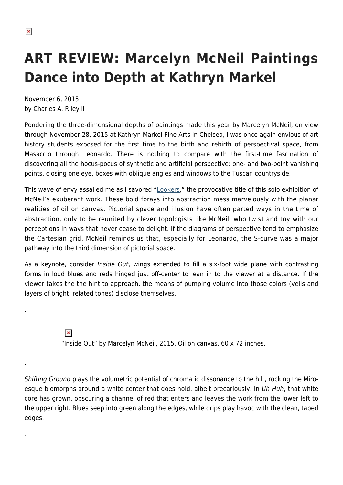.

.

.

## **ART REVIEW: Marcelyn McNeil Paintings Dance into Depth at Kathryn Markel**

November 6, 2015 by Charles A. Riley II

Pondering the three-dimensional depths of paintings made this year by Marcelyn McNeil, on view through November 28, 2015 at Kathryn Markel Fine Arts in Chelsea, I was once again envious of art history students exposed for the first time to the birth and rebirth of perspectival space, from Masaccio through Leonardo. There is nothing to compare with the first-time fascination of discovering all the hocus-pocus of synthetic and artificial perspective: one- and two-point vanishing points, closing one eye, boxes with oblique angles and windows to the Tuscan countryside.

This wave of envy assailed me as I savored ["Lookers](http://markelfinearts.com/artist/Marcelyn_McNeil/works/2542/#!2542)," the provocative title of this solo exhibition of McNeil's exuberant work. These bold forays into abstraction mess marvelously with the planar realities of oil on canvas. Pictorial space and illusion have often parted ways in the time of abstraction, only to be reunited by clever topologists like McNeil, who twist and toy with our perceptions in ways that never cease to delight. If the diagrams of perspective tend to emphasize the Cartesian grid, McNeil reminds us that, especially for Leonardo, the S-curve was a major pathway into the third dimension of pictorial space.

As a keynote, consider Inside Out, wings extended to fill a six-foot wide plane with contrasting forms in loud blues and reds hinged just off-center to lean in to the viewer at a distance. If the viewer takes the the hint to approach, the means of pumping volume into those colors (veils and layers of bright, related tones) disclose themselves.

> $\pmb{\times}$ "Inside Out" by Marcelyn McNeil, 2015. Oil on canvas, 60 x 72 inches.

Shifting Ground plays the volumetric potential of chromatic dissonance to the hilt, rocking the Miroesque biomorphs around a white center that does hold, albeit precariously. In Uh Huh, that white core has grown, obscuring a channel of red that enters and leaves the work from the lower left to the upper right. Blues seep into green along the edges, while drips play havoc with the clean, taped edges.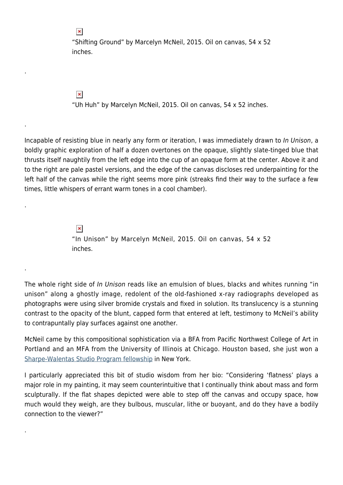"Shifting Ground" by Marcelyn McNeil, 2015. Oil on canvas, 54 x 52 inches.

 $\pmb{\times}$ 

.

.

.

.

.

"Uh Huh" by Marcelyn McNeil, 2015. Oil on canvas, 54 x 52 inches.

Incapable of resisting blue in nearly any form or iteration, I was immediately drawn to In Unison, a boldly graphic exploration of half a dozen overtones on the opaque, slightly slate-tinged blue that thrusts itself naughtily from the left edge into the cup of an opaque form at the center. Above it and to the right are pale pastel versions, and the edge of the canvas discloses red underpainting for the left half of the canvas while the right seems more pink (streaks find their way to the surface a few times, little whispers of errant warm tones in a cool chamber).

> $\pmb{\times}$ "In Unison" by Marcelyn McNeil, 2015. Oil on canvas, 54 x 52 inches.

The whole right side of In Unison reads like an emulsion of blues, blacks and whites running "in unison" along a ghostly image, redolent of the old-fashioned x-ray radiographs developed as photographs were using silver bromide crystals and fixed in solution. Its translucency is a stunning contrast to the opacity of the blunt, capped form that entered at left, testimony to McNeil's ability to contrapuntally play surfaces against one another.

McNeil came by this compositional sophistication via a BFA from Pacific Northwest College of Art in Portland and an MFA from the University of Illinois at Chicago. Houston based, she just won a [Sharpe-Walentas Studio Program fellowship](http://thestudioprogram.com/about/) in New York.

I particularly appreciated this bit of studio wisdom from her bio: "Considering 'flatness' plays a major role in my painting, it may seem counterintuitive that I continually think about mass and form sculpturally. If the flat shapes depicted were able to step off the canvas and occupy space, how much would they weigh, are they bulbous, muscular, lithe or buoyant, and do they have a bodily connection to the viewer?"

 $\pmb{\times}$